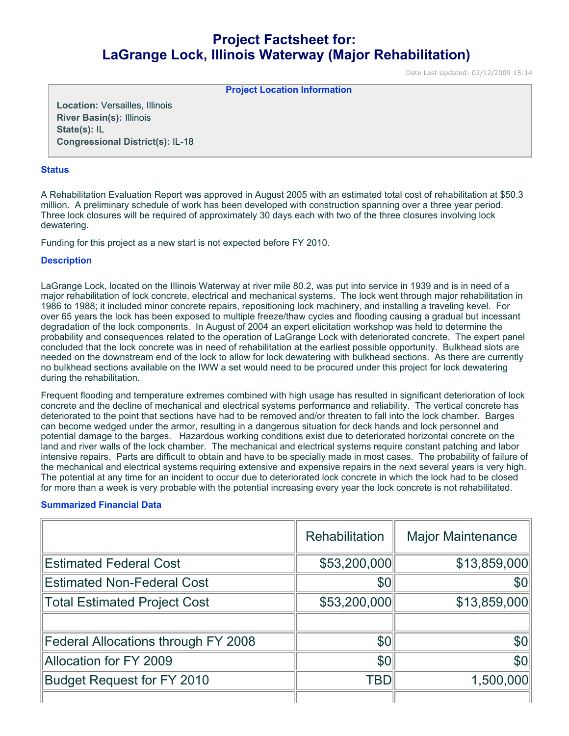# **Project Factsheet for: LaGrange Lock, Illinois Waterway (Major Rehabilitation)**

Date Last Updated: 02/12/2009 15:14

**Project Location Information** 

**Location:** Versailles, Illinois **River Basin(s):** Illinois **State(s):** IL **Congressional District(s):** IL-18

#### **Status**

A Rehabilitation Evaluation Report was approved in August 2005 with an estimated total cost of rehabilitation at \$50.3 million. A preliminary schedule of work has been developed with construction spanning over a three year period. Three lock closures will be required of approximately 30 days each with two of the three closures involving lock dewatering.

Funding for this project as a new start is not expected before FY 2010.

## **Description**

LaGrange Lock, located on the Illinois Waterway at river mile 80.2, was put into service in 1939 and is in need of a major rehabilitation of lock concrete, electrical and mechanical systems. The lock went through major rehabilitation in 1986 to 1988; it included minor concrete repairs, repositioning lock machinery, and installing a traveling kevel. For over 65 years the lock has been exposed to multiple freeze/thaw cycles and flooding causing a gradual but incessant degradation of the lock components. In August of 2004 an expert elicitation workshop was held to determine the probability and consequences related to the operation of LaGrange Lock with deteriorated concrete. The expert panel concluded that the lock concrete was in need of rehabilitation at the earliest possible opportunity. Bulkhead slots are needed on the downstream end of the lock to allow for lock dewatering with bulkhead sections. As there are currently no bulkhead sections available on the IWW a set would need to be procured under this project for lock dewatering during the rehabilitation.

Frequent flooding and temperature extremes combined with high usage has resulted in significant deterioration of lock concrete and the decline of mechanical and electrical systems performance and reliability. The vertical concrete has deteriorated to the point that sections have had to be removed and/or threaten to fall into the lock chamber. Barges can become wedged under the armor, resulting in a dangerous situation for deck hands and lock personnel and potential damage to the barges. Hazardous working conditions exist due to deteriorated horizontal concrete on the land and river walls of the lock chamber. The mechanical and electrical systems require constant patching and labor intensive repairs. Parts are difficult to obtain and have to be specially made in most cases. The probability of failure of the mechanical and electrical systems requiring extensive and expensive repairs in the next several years is very high. The potential at any time for an incident to occur due to deteriorated lock concrete in which the lock had to be closed for more than a week is very probable with the potential increasing every year the lock concrete is not rehabilitated.

## **Summarized Financial Data**

|                                     | <b>Rehabilitation</b> | <b>Major Maintenance</b> |
|-------------------------------------|-----------------------|--------------------------|
| <b>Estimated Federal Cost</b>       | \$53,200,000          | \$13,859,000             |
| <b>Estimated Non-Federal Cost</b>   | \$0                   | \$0                      |
| <b>Total Estimated Project Cost</b> | \$53,200,000          | \$13,859,000             |
|                                     |                       |                          |
| Federal Allocations through FY 2008 | \$0                   | \$0                      |
| <b>Allocation for FY 2009</b>       | \$0                   | \$0                      |
| <b>Budget Request for FY 2010</b>   | TBD                   | 1,500,000                |
|                                     |                       |                          |